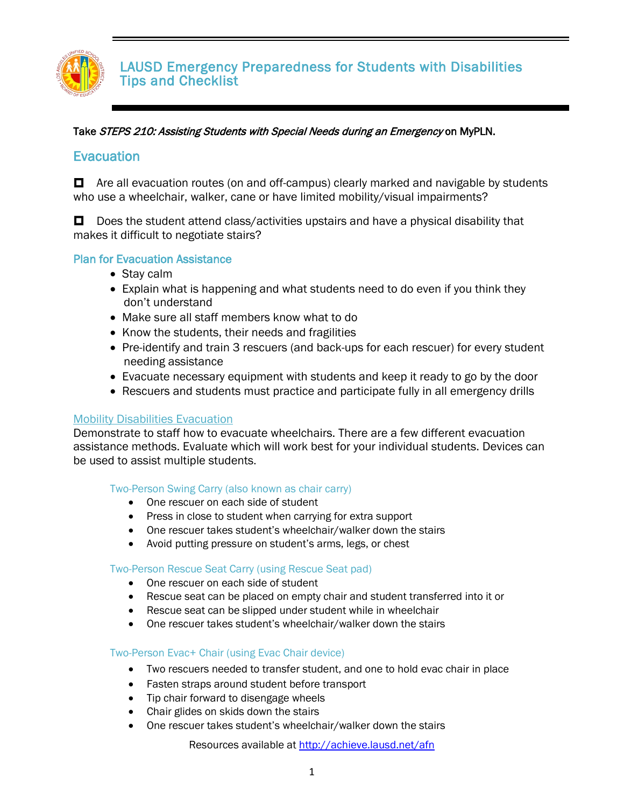

#### Take STEPS 210: Assisting Students with Special Needs during an Emergency on MyPLN.

#### **Evacuation**

 $\Box$  Are all evacuation routes (on and off-campus) clearly marked and navigable by students who use a wheelchair, walker, cane or have limited mobility/visual impairments?

 $\Box$  Does the student attend class/activities upstairs and have a physical disability that makes it difficult to negotiate stairs?

#### Plan for Evacuation Assistance

- Stay calm
- Explain what is happening and what students need to do even if you think they don't understand
- Make sure all staff members know what to do
- Know the students, their needs and fragilities
- Pre-identify and train 3 rescuers (and back-ups for each rescuer) for every student needing assistance
- Evacuate necessary equipment with students and keep it ready to go by the door
- Rescuers and students must practice and participate fully in all emergency drills

#### Mobility Disabilities Evacuation

Demonstrate to staff how to evacuate wheelchairs. There are a few different evacuation assistance methods. Evaluate which will work best for your individual students. Devices can be used to assist multiple students.

#### Two-Person Swing Carry (also known as chair carry)

- One rescuer on each side of student
- Press in close to student when carrying for extra support
- One rescuer takes student's wheelchair/walker down the stairs
- Avoid putting pressure on student's arms, legs, or chest

#### Two-Person Rescue Seat Carry (using Rescue Seat pad)

- One rescuer on each side of student
- Rescue seat can be placed on empty chair and student transferred into it or
- Rescue seat can be slipped under student while in wheelchair
- One rescuer takes student's wheelchair/walker down the stairs

#### Two-Person Evac+ Chair (using Evac Chair device)

- Two rescuers needed to transfer student, and one to hold evac chair in place
- Fasten straps around student before transport
- Tip chair forward to disengage wheels
- Chair glides on skids down the stairs
- One rescuer takes student's wheelchair/walker down the stairs

Resources available at<http://achieve.lausd.net/afn>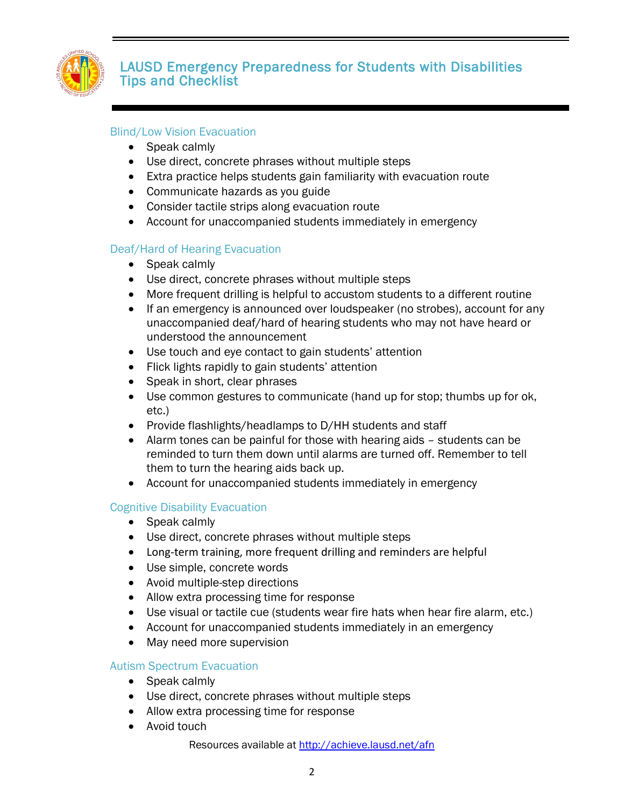

#### Blind/Low Vision Evacuation

- Speak calmly
- Use direct, concrete phrases without multiple steps
- Extra practice helps students gain familiarity with evacuation route
- Communicate hazards as you guide
- Consider tactile strips along evacuation route
- Account for unaccompanied students immediately in emergency

#### Deaf/Hard of Hearing Evacuation

- Speak calmly
- Use direct, concrete phrases without multiple steps
- More frequent drilling is helpful to accustom students to a different routine
- If an emergency is announced over loudspeaker (no strobes), account for any unaccompanied deaf/hard of hearing students who may not have heard or understood the announcement
- Use touch and eye contact to gain students' attention
- Flick lights rapidly to gain students' attention
- Speak in short, clear phrases
- Use common gestures to communicate (hand up for stop; thumbs up for ok, etc.)
- Provide flashlights/headlamps to D/HH students and staff
- Alarm tones can be painful for those with hearing aids students can be reminded to turn them down until alarms are turned off. Remember to tell them to turn the hearing aids back up.
- Account for unaccompanied students immediately in emergency

#### Cognitive Disability Evacuation

- Speak calmly
- Use direct, concrete phrases without multiple steps
- Long-term training, more frequent drilling and reminders are helpful
- Use simple, concrete words
- Avoid multiple-step directions
- Allow extra processing time for response
- Use visual or tactile cue (students wear fire hats when hear fire alarm, etc.)
- Account for unaccompanied students immediately in an emergency
- May need more supervision

#### Autism Spectrum Evacuation

- Speak calmly
- Use direct, concrete phrases without multiple steps
- Allow extra processing time for response
- Avoid touch

Resources available at<http://achieve.lausd.net/afn>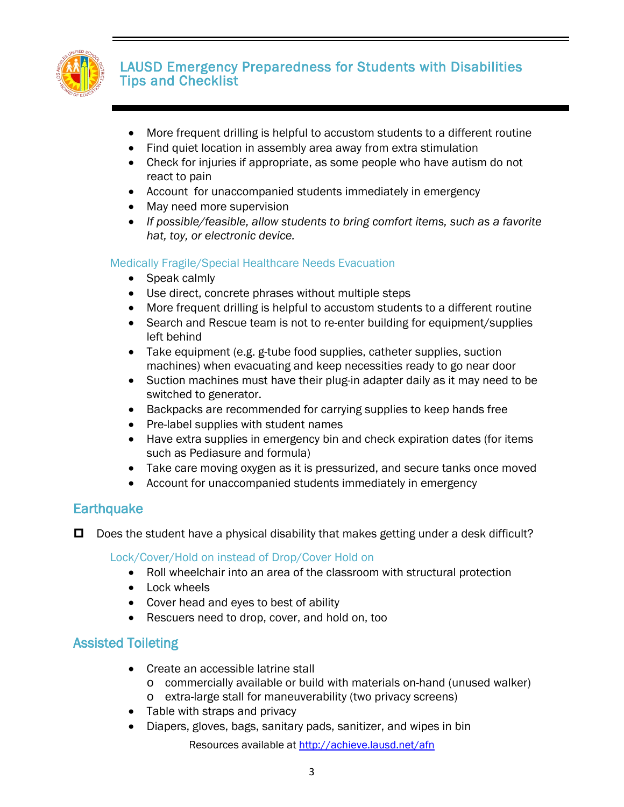

- More frequent drilling is helpful to accustom students to a different routine
- Find quiet location in assembly area away from extra stimulation
- Check for injuries if appropriate, as some people who have autism do not react to pain
- Account for unaccompanied students immediately in emergency
- May need more supervision
- *If possible/feasible, allow students to bring comfort items, such as a favorite hat, toy, or electronic device.*

### Medically Fragile/Special Healthcare Needs Evacuation

- Speak calmly
- Use direct, concrete phrases without multiple steps
- More frequent drilling is helpful to accustom students to a different routine
- Search and Rescue team is not to re-enter building for equipment/supplies left behind
- Take equipment (e.g. g-tube food supplies, catheter supplies, suction machines) when evacuating and keep necessities ready to go near door
- Suction machines must have their plug-in adapter daily as it may need to be switched to generator.
- Backpacks are recommended for carrying supplies to keep hands free
- Pre-label supplies with student names
- Have extra supplies in emergency bin and check expiration dates (for items such as Pediasure and formula)
- Take care moving oxygen as it is pressurized, and secure tanks once moved
- Account for unaccompanied students immediately in emergency

## **Earthquake**

 $\Box$  Does the student have a physical disability that makes getting under a desk difficult?

Lock/Cover/Hold on instead of Drop/Cover Hold on

- Roll wheelchair into an area of the classroom with structural protection
- Lock wheels
- Cover head and eyes to best of ability
- Rescuers need to drop, cover, and hold on, too

# Assisted Toileting

- Create an accessible latrine stall
	- o commercially available or build with materials on-hand (unused walker)
	- o extra-large stall for maneuverability (two privacy screens)
- Table with straps and privacy
- Diapers, gloves, bags, sanitary pads, sanitizer, and wipes in bin

Resources available at<http://achieve.lausd.net/afn>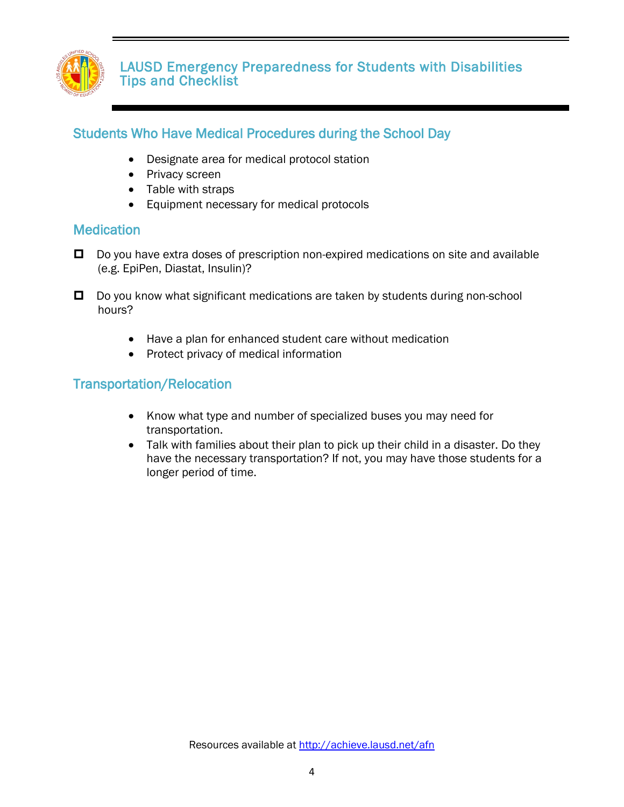

## Students Who Have Medical Procedures during the School Day

- Designate area for medical protocol station
- Privacy screen
- Table with straps
- Equipment necessary for medical protocols

### **Medication**

- $\Box$  Do you have extra doses of prescription non-expired medications on site and available (e.g. EpiPen, Diastat, Insulin)?
- $\Box$  Do you know what significant medications are taken by students during non-school hours?
	- Have a plan for enhanced student care without medication
	- Protect privacy of medical information

### Transportation/Relocation

- Know what type and number of specialized buses you may need for transportation.
- Talk with families about their plan to pick up their child in a disaster. Do they have the necessary transportation? If not, you may have those students for a longer period of time.